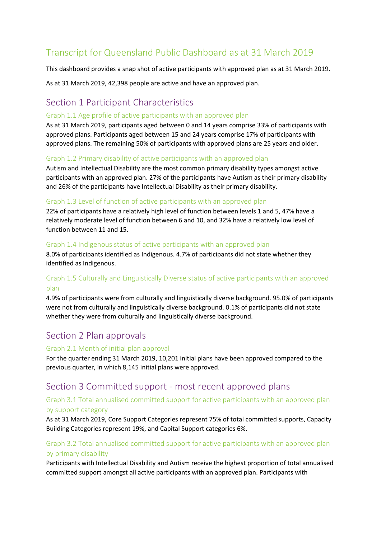# Transcript for Queensland Public Dashboard as at 31 March 2019

This dashboard provides a snap shot of active participants with approved plan as at 31 March 2019.

As at 31 March 2019, 42,398 people are active and have an approved plan.

# Section 1 Participant Characteristics

#### Graph 1.1 Age profile of active participants with an approved plan

As at 31 March 2019, participants aged between 0 and 14 years comprise 33% of participants with approved plans. Participants aged between 15 and 24 years comprise 17% of participants with approved plans. The remaining 50% of participants with approved plans are 25 years and older.

#### Graph 1.2 Primary disability of active participants with an approved plan

Autism and Intellectual Disability are the most common primary disability types amongst active participants with an approved plan. 27% of the participants have Autism as their primary disability and 26% of the participants have Intellectual Disability as their primary disability.

#### Graph 1.3 Level of function of active participants with an approved plan

22% of participants have a relatively high level of function between levels 1 and 5, 47% have a relatively moderate level of function between 6 and 10, and 32% have a relatively low level of function between 11 and 15.

#### Graph 1.4 Indigenous status of active participants with an approved plan

8.0% of participants identified as Indigenous. 4.7% of participants did not state whether they identified as Indigenous.

# Graph 1.5 Culturally and Linguistically Diverse status of active participants with an approved plan

4.9% of participants were from culturally and linguistically diverse background. 95.0% of participants were not from culturally and linguistically diverse background. 0.1% of participants did not state whether they were from culturally and linguistically diverse background.

# Section 2 Plan approvals

#### Graph 2.1 Month of initial plan approval

For the quarter ending 31 March 2019, 10,201 initial plans have been approved compared to the previous quarter, in which 8,145 initial plans were approved.

# Section 3 Committed support - most recent approved plans

# Graph 3.1 Total annualised committed support for active participants with an approved plan by support category

As at 31 March 2019, Core Support Categories represent 75% of total committed supports, Capacity Building Categories represent 19%, and Capital Support categories 6%.

# Graph 3.2 Total annualised committed support for active participants with an approved plan by primary disability

Participants with Intellectual Disability and Autism receive the highest proportion of total annualised committed support amongst all active participants with an approved plan. Participants with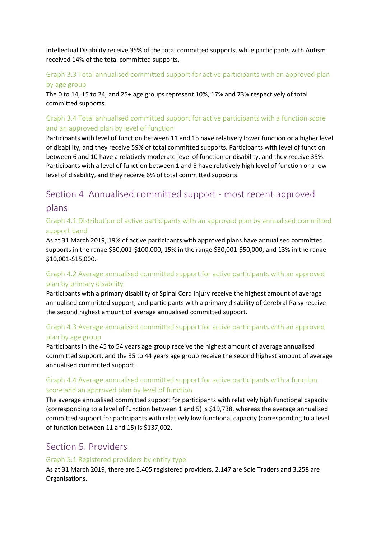Intellectual Disability receive 35% of the total committed supports, while participants with Autism received 14% of the total committed supports.

### Graph 3.3 Total annualised committed support for active participants with an approved plan by age group

The 0 to 14, 15 to 24, and 25+ age groups represent 10%, 17% and 73% respectively of total committed supports.

# Graph 3.4 Total annualised committed support for active participants with a function score and an approved plan by level of function

Participants with level of function between 11 and 15 have relatively lower function or a higher level of disability, and they receive 59% of total committed supports. Participants with level of function between 6 and 10 have a relatively moderate level of function or disability, and they receive 35%. Participants with a level of function between 1 and 5 have relatively high level of function or a low level of disability, and they receive 6% of total committed supports.

# Section 4. Annualised committed support - most recent approved plans

### Graph 4.1 Distribution of active participants with an approved plan by annualised committed support band

As at 31 March 2019, 19% of active participants with approved plans have annualised committed supports in the range \$50,001-\$100,000, 15% in the range \$30,001-\$50,000, and 13% in the range \$10,001-\$15,000.

# Graph 4.2 Average annualised committed support for active participants with an approved plan by primary disability

Participants with a primary disability of Spinal Cord Injury receive the highest amount of average annualised committed support, and participants with a primary disability of Cerebral Palsy receive the second highest amount of average annualised committed support.

# Graph 4.3 Average annualised committed support for active participants with an approved plan by age group

Participants in the 45 to 54 years age group receive the highest amount of average annualised committed support, and the 35 to 44 years age group receive the second highest amount of average annualised committed support.

# Graph 4.4 Average annualised committed support for active participants with a function score and an approved plan by level of function

The average annualised committed support for participants with relatively high functional capacity (corresponding to a level of function between 1 and 5) is \$19,738, whereas the average annualised committed support for participants with relatively low functional capacity (corresponding to a level of function between 11 and 15) is \$137,002.

# Section 5. Providers

#### Graph 5.1 Registered providers by entity type

As at 31 March 2019, there are 5,405 registered providers, 2,147 are Sole Traders and 3,258 are Organisations.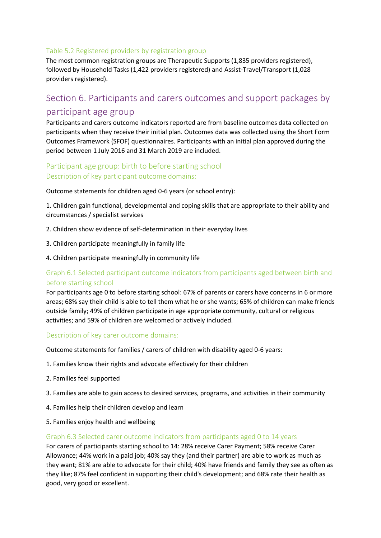#### Table 5.2 Registered providers by registration group

The most common registration groups are Therapeutic Supports (1,835 providers registered), followed by Household Tasks (1,422 providers registered) and Assist-Travel/Transport (1,028 providers registered).

# Section 6. Participants and carers outcomes and support packages by participant age group

Participants and carers outcome indicators reported are from baseline outcomes data collected on participants when they receive their initial plan. Outcomes data was collected using the Short Form Outcomes Framework (SFOF) questionnaires. Participants with an initial plan approved during the period between 1 July 2016 and 31 March 2019 are included.

# Participant age group: birth to before starting school Description of key participant outcome domains:

Outcome statements for children aged 0-6 years (or school entry):

1. Children gain functional, developmental and coping skills that are appropriate to their ability and circumstances / specialist services

- 2. Children show evidence of self-determination in their everyday lives
- 3. Children participate meaningfully in family life
- 4. Children participate meaningfully in community life

# Graph 6.1 Selected participant outcome indicators from participants aged between birth and before starting school

For participants age 0 to before starting school: 67% of parents or carers have concerns in 6 or more areas; 68% say their child is able to tell them what he or she wants; 65% of children can make friends outside family; 49% of children participate in age appropriate community, cultural or religious activities; and 59% of children are welcomed or actively included.

#### Description of key carer outcome domains:

Outcome statements for families / carers of children with disability aged 0-6 years:

- 1. Families know their rights and advocate effectively for their children
- 2. Families feel supported
- 3. Families are able to gain access to desired services, programs, and activities in their community
- 4. Families help their children develop and learn
- 5. Families enjoy health and wellbeing

#### Graph 6.3 Selected carer outcome indicators from participants aged 0 to 14 years

For carers of participants starting school to 14: 28% receive Carer Payment; 58% receive Carer Allowance; 44% work in a paid job; 40% say they (and their partner) are able to work as much as they want; 81% are able to advocate for their child; 40% have friends and family they see as often as they like; 87% feel confident in supporting their child's development; and 68% rate their health as good, very good or excellent.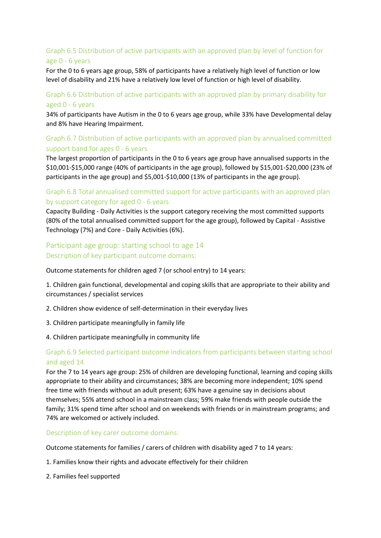# Graph 6.5 Distribution of active participants with an approved plan by level of function for age 0 - 6 years

For the 0 to 6 years age group, 58% of participants have a relatively high level of function or low level of disability and 21% have a relatively low level of function or high level of disability.

#### Graph 6.6 Distribution of active participants with an approved plan by primary disability for aged 0 - 6 years

34% of participants have Autism in the 0 to 6 years age group, while 33% have Developmental delay and 8% have Hearing Impairment.

# Graph 6.7 Distribution of active participants with an approved plan by annualised committed support band for ages 0 - 6 years

The largest proportion of participants in the 0 to 6 years age group have annualised supports in the \$10,001-\$15,000 range (40% of participants in the age group), followed by \$15,001-\$20,000 (23% of participants in the age group) and \$5,001-\$10,000 (13% of participants in the age group).

#### Graph 6.8 Total annualised committed support for active participants with an approved plan by support category for aged 0 - 6 years

Capacity Building - Daily Activities is the support category receiving the most committed supports (80% of the total annualised committed support for the age group), followed by Capital - Assistive Technology (7%) and Core - Daily Activities (6%).

### Participant age group: starting school to age 14 Description of key participant outcome domains:

Outcome statements for children aged 7 (or school entry) to 14 years:

1. Children gain functional, developmental and coping skills that are appropriate to their ability and circumstances / specialist services

- 2. Children show evidence of self-determination in their everyday lives
- 3. Children participate meaningfully in family life
- 4. Children participate meaningfully in community life

#### Graph 6.9 Selected participant outcome indicators from participants between starting school and aged 14

For the 7 to 14 years age group: 25% of children are developing functional, learning and coping skills appropriate to their ability and circumstances; 38% are becoming more independent; 10% spend free time with friends without an adult present; 63% have a genuine say in decisions about themselves; 55% attend school in a mainstream class; 59% make friends with people outside the family; 31% spend time after school and on weekends with friends or in mainstream programs; and 74% are welcomed or actively included.

Description of key carer outcome domains:

Outcome statements for families / carers of children with disability aged 7 to 14 years:

- 1. Families know their rights and advocate effectively for their children
- 2. Families feel supported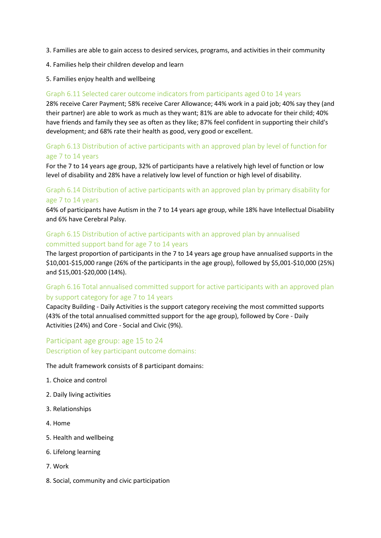- 3. Families are able to gain access to desired services, programs, and activities in their community
- 4. Families help their children develop and learn
- 5. Families enjoy health and wellbeing

#### Graph 6.11 Selected carer outcome indicators from participants aged 0 to 14 years

28% receive Carer Payment; 58% receive Carer Allowance; 44% work in a paid job; 40% say they (and their partner) are able to work as much as they want; 81% are able to advocate for their child; 40% have friends and family they see as often as they like; 87% feel confident in supporting their child's development; and 68% rate their health as good, very good or excellent.

#### Graph 6.13 Distribution of active participants with an approved plan by level of function for age 7 to 14 years

For the 7 to 14 years age group, 32% of participants have a relatively high level of function or low level of disability and 28% have a relatively low level of function or high level of disability.

### Graph 6.14 Distribution of active participants with an approved plan by primary disability for age 7 to 14 years

64% of participants have Autism in the 7 to 14 years age group, while 18% have Intellectual Disability and 6% have Cerebral Palsy.

#### Graph 6.15 Distribution of active participants with an approved plan by annualised committed support band for age 7 to 14 years

The largest proportion of participants in the 7 to 14 years age group have annualised supports in the \$10,001-\$15,000 range (26% of the participants in the age group), followed by \$5,001-\$10,000 (25%) and \$15,001-\$20,000 (14%).

# Graph 6.16 Total annualised committed support for active participants with an approved plan by support category for age 7 to 14 years

Capacity Building - Daily Activities is the support category receiving the most committed supports (43% of the total annualised committed support for the age group), followed by Core - Daily Activities (24%) and Core - Social and Civic (9%).

# Participant age group: age 15 to 24 Description of key participant outcome domains:

The adult framework consists of 8 participant domains:

- 1. Choice and control
- 2. Daily living activities
- 3. Relationships
- 4. Home
- 5. Health and wellbeing
- 6. Lifelong learning
- 7. Work
- 8. Social, community and civic participation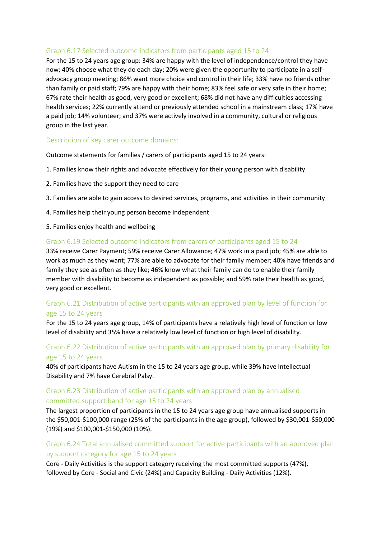#### Graph 6.17 Selected outcome indicators from participants aged 15 to 24

For the 15 to 24 years age group: 34% are happy with the level of independence/control they have now; 40% choose what they do each day; 20% were given the opportunity to participate in a selfadvocacy group meeting; 86% want more choice and control in their life; 33% have no friends other than family or paid staff; 79% are happy with their home; 83% feel safe or very safe in their home; 67% rate their health as good, very good or excellent; 68% did not have any difficulties accessing health services; 22% currently attend or previously attended school in a mainstream class; 17% have a paid job; 14% volunteer; and 37% were actively involved in a community, cultural or religious group in the last year.

#### Description of key carer outcome domains:

Outcome statements for families / carers of participants aged 15 to 24 years:

- 1. Families know their rights and advocate effectively for their young person with disability
- 2. Families have the support they need to care
- 3. Families are able to gain access to desired services, programs, and activities in their community
- 4. Families help their young person become independent
- 5. Families enjoy health and wellbeing

#### Graph 6.19 Selected outcome indicators from carers of participants aged 15 to 24

33% receive Carer Payment; 59% receive Carer Allowance; 47% work in a paid job; 45% are able to work as much as they want; 77% are able to advocate for their family member; 40% have friends and family they see as often as they like; 46% know what their family can do to enable their family member with disability to become as independent as possible; and 59% rate their health as good, very good or excellent.

#### Graph 6.21 Distribution of active participants with an approved plan by level of function for age 15 to 24 years

For the 15 to 24 years age group, 14% of participants have a relatively high level of function or low level of disability and 35% have a relatively low level of function or high level of disability.

#### Graph 6.22 Distribution of active participants with an approved plan by primary disability for age 15 to 24 years

40% of participants have Autism in the 15 to 24 years age group, while 39% have Intellectual Disability and 7% have Cerebral Palsy.

#### Graph 6.23 Distribution of active participants with an approved plan by annualised committed support band for age 15 to 24 years

The largest proportion of participants in the 15 to 24 years age group have annualised supports in the \$50,001-\$100,000 range (25% of the participants in the age group), followed by \$30,001-\$50,000 (19%) and \$100,001-\$150,000 (10%).

#### Graph 6.24 Total annualised committed support for active participants with an approved plan by support category for age 15 to 24 years

Core - Daily Activities is the support category receiving the most committed supports (47%), followed by Core - Social and Civic (24%) and Capacity Building - Daily Activities (12%).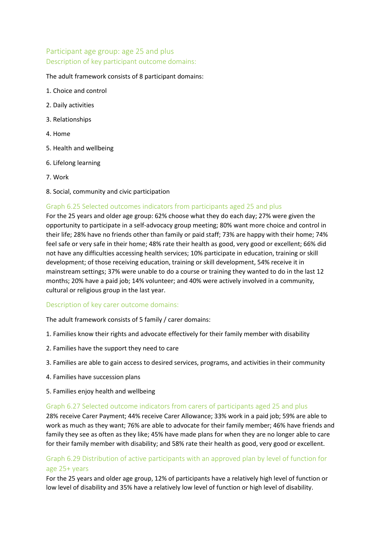# Participant age group: age 25 and plus Description of key participant outcome domains:

#### The adult framework consists of 8 participant domains:

- 1. Choice and control
- 2. Daily activities
- 3. Relationships
- 4. Home
- 5. Health and wellbeing
- 6. Lifelong learning
- 7. Work
- 8. Social, community and civic participation

#### Graph 6.25 Selected outcomes indicators from participants aged 25 and plus

For the 25 years and older age group: 62% choose what they do each day; 27% were given the opportunity to participate in a self-advocacy group meeting; 80% want more choice and control in their life; 28% have no friends other than family or paid staff; 73% are happy with their home; 74% feel safe or very safe in their home; 48% rate their health as good, very good or excellent; 66% did not have any difficulties accessing health services; 10% participate in education, training or skill development; of those receiving education, training or skill development, 54% receive it in mainstream settings; 37% were unable to do a course or training they wanted to do in the last 12 months; 20% have a paid job; 14% volunteer; and 40% were actively involved in a community, cultural or religious group in the last year.

#### Description of key carer outcome domains:

The adult framework consists of 5 family / carer domains:

- 1. Families know their rights and advocate effectively for their family member with disability
- 2. Families have the support they need to care
- 3. Families are able to gain access to desired services, programs, and activities in their community
- 4. Families have succession plans
- 5. Families enjoy health and wellbeing

#### Graph 6.27 Selected outcome indicators from carers of participants aged 25 and plus

28% receive Carer Payment; 44% receive Carer Allowance; 33% work in a paid job; 59% are able to work as much as they want; 76% are able to advocate for their family member; 46% have friends and family they see as often as they like; 45% have made plans for when they are no longer able to care for their family member with disability; and 58% rate their health as good, very good or excellent.

#### Graph 6.29 Distribution of active participants with an approved plan by level of function for age 25+ years

For the 25 years and older age group, 12% of participants have a relatively high level of function or low level of disability and 35% have a relatively low level of function or high level of disability.